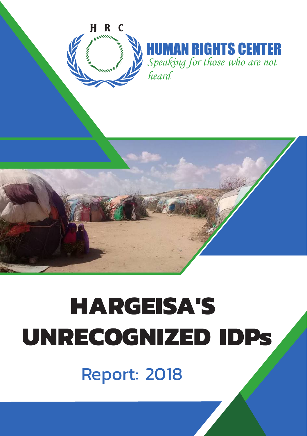



# **HARGEISA'S** UNRECOGNIZED IDPs

Report: 2018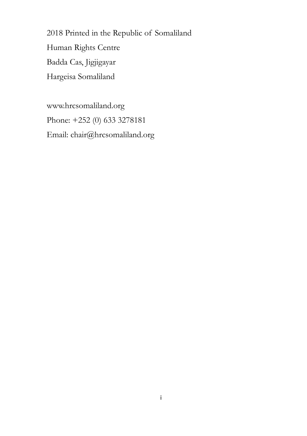2018 Printed in the Republic of Somaliland Human Rights Centre Badda Cas, Jigjigayar Hargeisa Somaliland

www.hrcsomaliland.org Phone: +252 (0) 633 3278181 Email: chair@hrcsomaliland.org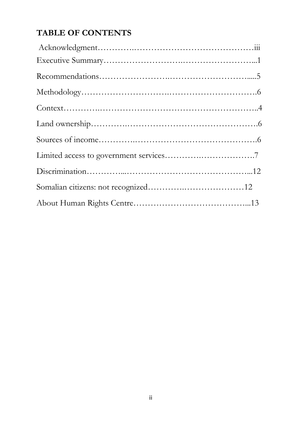## **TABLE OF CONTENTS**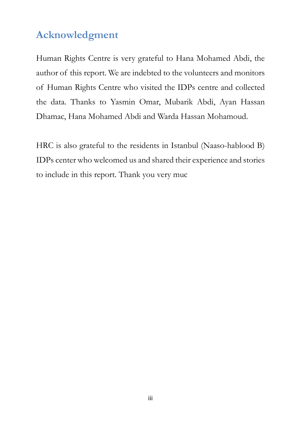# **Acknowledgment**

Human Rights Centre is very grateful to Hana Mohamed Abdi, the author of this report. We are indebted to the volunteers and monitors of Human Rights Centre who visited the IDPs centre and collected the data. Thanks to Yasmin Omar, Mubarik Abdi, Ayan Hassan Dhamac, Hana Mohamed Abdi and Warda Hassan Mohamoud.

HRC is also grateful to the residents in Istanbul (Naaso-hablood B) IDPs center who welcomed us and shared their experience and stories to include in this report. Thank you very muc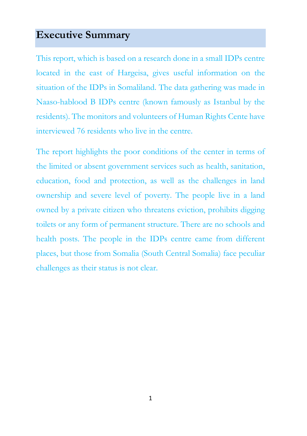# **Executive Summary**

This report, which is based on a research done in a small IDPs centre located in the east of Hargeisa, gives useful information on the situation of the IDPs in Somaliland. The data gathering was made in Naaso-hablood B IDPs centre (known famously as Istanbul by the residents). The monitors and volunteers of Human Rights Cente have interviewed 76 residents who live in the centre.

The report highlights the poor conditions of the center in terms of the limited or absent government services such as health, sanitation, education, food and protection, as well as the challenges in land ownership and severe level of poverty. The people live in a land owned by a private citizen who threatens eviction, prohibits digging toilets or any form of permanent structure. There are no schools and health posts. The people in the IDPs centre came from different places, but those from Somalia (South Central Somalia) face peculiar challenges as their status is not clear.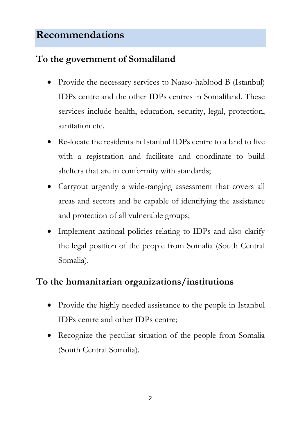# **Recommendations**

## **To the government of Somaliland**

- Provide the necessary services to Naaso-hablood B (Istanbul) IDPs centre and the other IDPs centres in Somaliland. These services include health, education, security, legal, protection, sanitation etc.
- Re-locate the residents in Istanbul IDPs centre to a land to live with a registration and facilitate and coordinate to build shelters that are in conformity with standards;
- Carryout urgently a wide-ranging assessment that covers all areas and sectors and be capable of identifying the assistance and protection of all vulnerable groups;
- Implement national policies relating to IDPs and also clarify the legal position of the people from Somalia (South Central Somalia).

# **To the humanitarian organizations/institutions**

- Provide the highly needed assistance to the people in Istanbul IDPs centre and other IDPs centre;
- Recognize the peculiar situation of the people from Somalia (South Central Somalia).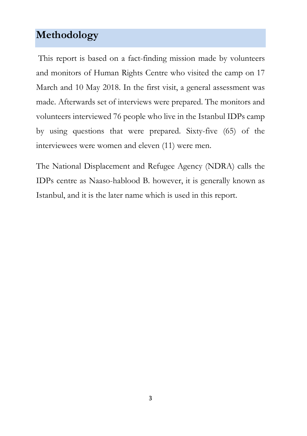# **Methodology**

This report is based on a fact-finding mission made by volunteers and monitors of Human Rights Centre who visited the camp on 17 March and 10 May 2018. In the first visit, a general assessment was made. Afterwards set of interviews were prepared. The monitors and volunteers interviewed 76 people who live in the Istanbul IDPs camp by using questions that were prepared. Sixty-five (65) of the interviewees were women and eleven (11) were men.

The National Displacement and Refugee Agency (NDRA) calls the IDPs centre as Naaso-hablood B. however, it is generally known as Istanbul, and it is the later name which is used in this report.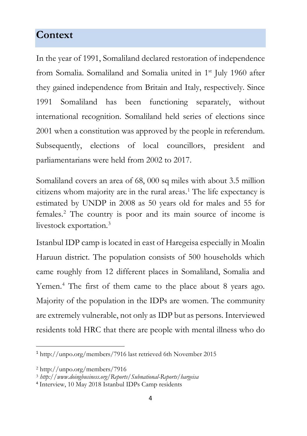# **Context**

In the year of 1991, Somaliland declared restoration of independence from Somalia. Somaliland and Somalia united in 1<sup>st</sup> July 1960 after they gained independence from Britain and Italy, respectively. Since 1991 Somaliland has been functioning separately, without international recognition. Somaliland held series of elections since 2001 when a constitution was approved by the people in referendum. Subsequently, elections of local councillors, president and parliamentarians were held from 2002 to 2017.

Somaliland covers an area of 68, 000 sq miles with about 3.5 million citizens whom majority are in the rural areas.1 The life expectancy is estimated by UNDP in 2008 as 50 years old for males and 55 for females.2 The country is poor and its main source of income is livestock exportation.3

Istanbul IDP camp is located in east of Haregeisa especially in Moalin Haruun district. The population consists of 500 households which came roughly from 12 different places in Somaliland, Somalia and Yemen.<sup>4</sup> The first of them came to the place about 8 years ago. Majority of the population in the IDPs are women. The community are extremely vulnerable, not only as IDP but as persons. Interviewed residents told HRC that there are people with mental illness who do

 <sup>1</sup> http://unpo.org/members/7916 last retrieved 6th November 2015

<sup>2</sup> http://unpo.org/members/7916

<sup>3</sup> *http://www.doingbusiness.org/Reports/Subnational-Reports/hargeisa*

<sup>4</sup> Interview, 10 May 2018 Istanbul IDPs Camp residents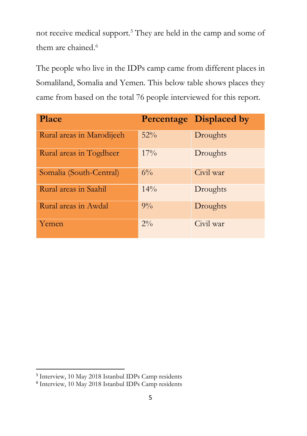not receive medical support.5 They are held in the camp and some of them are chained. 6

The people who live in the IDPs camp came from different places in Somaliland, Somalia and Yemen. This below table shows places they came from based on the total 76 people interviewed for this report.

| <b>Place</b>              |        | <b>Percentage Displaced by</b> |
|---------------------------|--------|--------------------------------|
| Rural areas in Marodijeeh | $52\%$ | Droughts                       |
| Rural areas in Togdheer   | $17\%$ | Droughts                       |
| Somalia (South-Central)   | $6\%$  | Civil war                      |
| Rural areas in Saahil     | $14\%$ | Droughts                       |
| Rural areas in Awdal      | $9\%$  | Droughts                       |
| Yemen                     | $2\%$  | Civil war                      |

 <sup>5</sup> Interview, 10 May 2018 Istanbul IDPs Camp residents

<sup>6</sup> Interview, 10 May 2018 Istanbul IDPs Camp residents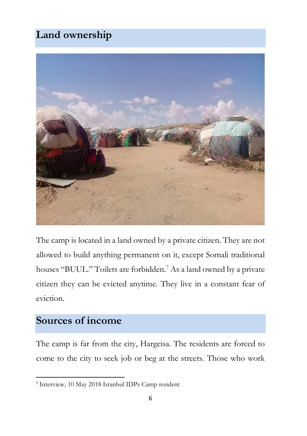# **Land ownership**



The camp is located in a land owned by a private citizen. They are not allowed to build anything permanent on it, except Somali traditional houses "BUUL." Toilets are forbidden. <sup>7</sup> As a land owned by a private citizen they can be evicted anytime. They live in a constant fear of eviction.

# **Sources of income**

The camp is far from the city, Hargeisa. The residents are forced to come to the city to seek job or beg at the streets. Those who work

 <sup>7</sup> Interview, 10 May 2018 Istanbul IDPs Camp resident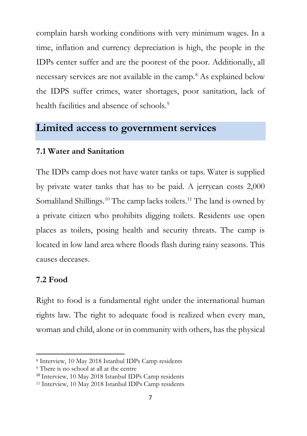complain harsh working conditions with very minimum wages. In a time, inflation and currency depreciation is high, the people in the IDPs center suffer and are the poorest of the poor. Additionally, all necessary services are not available in the camp.<sup>8</sup> As explained below the IDPS suffer crimes, water shortages, poor sanitation, lack of health facilities and absence of schools.<sup>9</sup>

#### **Limited access to government services**

#### **7.1 Water and Sanitation**

The IDPs camp does not have water tanks or taps. Water is supplied by private water tanks that has to be paid. A jerrycan costs 2,000 Somaliland Shillings.<sup>10</sup> The camp lacks toilets.<sup>11</sup> The land is owned by a private citizen who prohibits digging toilets. Residents use open places as toilets, posing health and security threats. The camp is located in low land area where floods flash during rainy seasons. This causes deceases.

#### **7.2 Food**

 $\overline{a}$ 

Right to food is a fundamental right under the international human rights law. The right to adequate food is realized when every man, woman and child, alone or in community with others, has the physical

<sup>8</sup> Interview, 10 May 2018 Istanbul IDPs Camp residents

<sup>9</sup> There is no school at all at the centre

<sup>10</sup> Interview, 10 May 2018 Istanbul IDPs Camp residents

<sup>11</sup> Interview, 10 May 2018 Istanbul IDPs Camp residents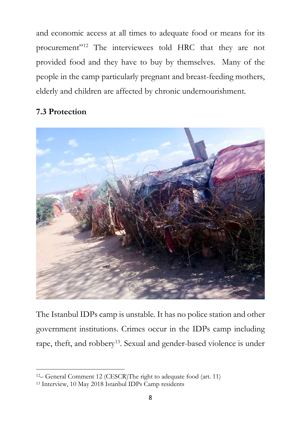and economic access at all times to adequate food or means for its procurement"12 The interviewees told HRC that they are not provided food and they have to buy by themselves. Many of the people in the camp particularly pregnant and breast-feeding mothers, elderly and children are affected by chronic undernourishment.

#### **7.3 Protection**

 $\overline{a}$ 



The Istanbul IDPs camp is unstable. It has no police station and other government institutions. Crimes occur in the IDPs camp including rape, theft, and robbery<sup>13</sup>. Sexual and gender-based violence is under

<sup>12–</sup> General Comment 12 (CESCR)The right to adequate food (art. 11)

<sup>13</sup> Interview, 10 May 2018 Istanbul IDPs Camp residents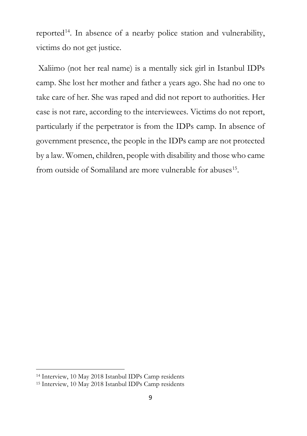reported<sup>14</sup>. In absence of a nearby police station and vulnerability, victims do not get justice.

Xaliimo (not her real name) is a mentally sick girl in Istanbul IDPs camp. She lost her mother and father a years ago. She had no one to take care of her. She was raped and did not report to authorities. Her case is not rare, according to the interviewees. Victims do not report, particularly if the perpetrator is from the IDPs camp. In absence of government presence, the people in the IDPs camp are not protected by a law. Women, children, people with disability and those who came from outside of Somaliland are more vulnerable for abuses<sup>15</sup>.

 $\overline{a}$ 

<sup>14</sup> Interview, 10 May 2018 Istanbul IDPs Camp residents

<sup>15</sup> Interview, 10 May 2018 Istanbul IDPs Camp residents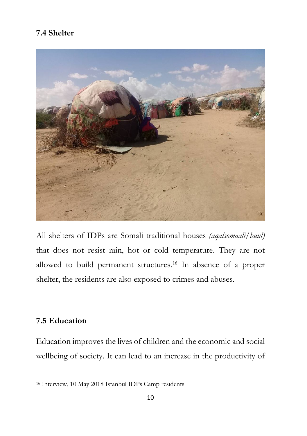#### **7.4 Shelter**



All shelters of IDPs are Somali traditional houses *(aqalsomaali/buul)* that does not resist rain, hot or cold temperature. They are not allowed to build permanent structures. <sup>16</sup> In absence of a proper shelter, the residents are also exposed to crimes and abuses.

#### **7.5 Education**

Education improves the lives of children and the economic and social wellbeing of society. It can lead to an increase in the productivity of

<sup>16</sup> Interview, 10 May 2018 Istanbul IDPs Camp residents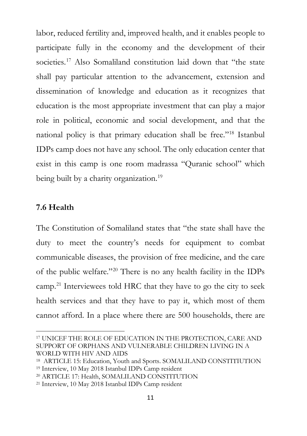labor, reduced fertility and, improved health, and it enables people to participate fully in the economy and the development of their societies.<sup>17</sup> Also Somaliland constitution laid down that "the state shall pay particular attention to the advancement, extension and dissemination of knowledge and education as it recognizes that education is the most appropriate investment that can play a major role in political, economic and social development, and that the national policy is that primary education shall be free."18 Istanbul IDPs camp does not have any school. The only education center that exist in this camp is one room madrassa "Quranic school" which being built by a charity organization.<sup>19</sup>

#### **7.6 Health**

 $\overline{a}$ 

The Constitution of Somaliland states that "the state shall have the duty to meet the country's needs for equipment to combat communicable diseases, the provision of free medicine, and the care of the public welfare."20 There is no any health facility in the IDPs camp.21 Interviewees told HRC that they have to go the city to seek health services and that they have to pay it, which most of them cannot afford. In a place where there are 500 households, there are

<sup>17</sup> UNICEF THE ROLE OF EDUCATION IN THE PROTECTION, CARE AND SUPPORT OF ORPHANS AND VULNERABLE CHILDREN LIVING IN A WORLD WITH HIV AND AIDS

<sup>18</sup> ARTICLE 15: Education, Youth and Sports. SOMALILAND CONSTITIUTION

<sup>19</sup> Interview, 10 May 2018 Istanbul IDPs Camp resident

<sup>20</sup> ARTICLE 17: Health, SOMALILAND CONSTITUTION

<sup>21</sup> Interview, 10 May 2018 Istanbul IDPs Camp resident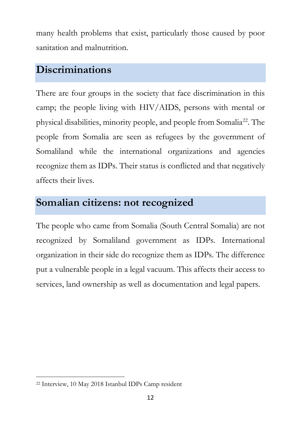many health problems that exist, particularly those caused by poor sanitation and malnutrition.

# **Discriminations**

There are four groups in the society that face discrimination in this camp; the people living with HIV/AIDS, persons with mental or physical disabilities, minority people, and people from Somalia22. The people from Somalia are seen as refugees by the government of Somaliland while the international organizations and agencies recognize them as IDPs. Their status is conflicted and that negatively affects their lives.

# **Somalian citizens: not recognized**

The people who came from Somalia (South Central Somalia) are not recognized by Somaliland government as IDPs. International organization in their side do recognize them as IDPs. The difference put a vulnerable people in a legal vacuum. This affects their access to services, land ownership as well as documentation and legal papers.

 $\overline{a}$ 

<sup>22</sup> Interview, 10 May 2018 Istanbul IDPs Camp resident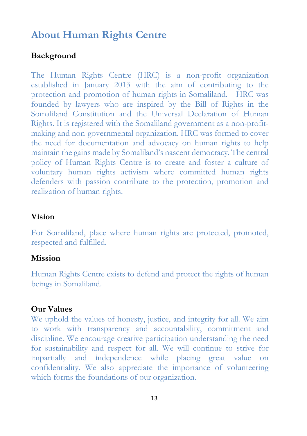# **About Human Rights Centre**

#### **Background**

The Human Rights Centre (HRC) is a non-profit organization established in January 2013 with the aim of contributing to the protection and promotion of human rights in Somaliland. HRC was founded by lawyers who are inspired by the Bill of Rights in the Somaliland Constitution and the Universal Declaration of Human Rights. It is registered with the Somaliland government as a non-profitmaking and non-governmental organization. HRC was formed to cover the need for documentation and advocacy on human rights to help maintain the gains made by Somaliland's nascent democracy. The central policy of Human Rights Centre is to create and foster a culture of voluntary human rights activism where committed human rights defenders with passion contribute to the protection, promotion and realization of human rights.

#### **Vision**

For Somaliland, place where human rights are protected, promoted, respected and fulfilled.

#### **Mission**

Human Rights Centre exists to defend and protect the rights of human beings in Somaliland.

#### **Our Values**

We uphold the values of honesty, justice, and integrity for all. We aim to work with transparency and accountability, commitment and discipline. We encourage creative participation understanding the need for sustainability and respect for all. We will continue to strive for impartially and independence while placing great value on confidentiality. We also appreciate the importance of volunteering which forms the foundations of our organization.